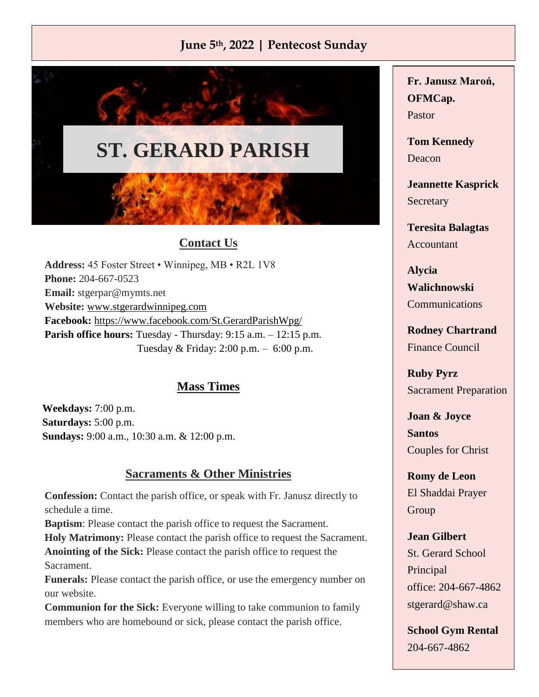# **June 5th, 2022 | Pentecost Sunday**



## **Contact Us**

**Address:** 45 Foster Street • Winnipeg, MB • R2L 1V8 **Phone:** 204-667-0523 **Email:** [stgerpar@mymts.net](mailto:stjosephtheworkerparish.wpg@gmail.com) **Website:** [www.stgerardwinnipeg.com](http://www.stgerardwinnipeg.com/) **Facebook:** <https://www.facebook.com/St.GerardParishWpg/> Parish office hours: Tuesday - Thursday: 9:15 a.m. – 12:15 p.m. Tuesday & Friday: 2:00 p.m. – 6:00 p.m.

## **Mass Times**

**Weekdays:** 7:00 p.m. **Saturdays:** 5:00 p.m. **Sundays:** 9:00 a.m., 10:30 a.m. & 12:00 p.m.

#### **Sacraments & Other Ministries**

**Confession:** Contact the parish office, or speak with Fr. Janusz directly to schedule a time.

**Baptism**: Please contact the parish office to request the Sacrament. **Holy Matrimony:** Please contact the parish office to request the Sacrament. **Anointing of the Sick:** Please contact the parish office to request the Sacrament.

**Funerals:** Please contact the parish office, or use the emergency number on our website.

**Communion for the Sick:** Everyone willing to take communion to family members who are homebound or sick, please contact the parish office.

**Fr. Janusz Maroń, OFMCap.** Pastor

**Tom Kennedy** Deacon

**Jeannette Kasprick Secretary** 

**Teresita Balagtas** Accountant

**Alycia Walichnowski** Communications

**Rodney Chartrand** Finance Council

**Ruby Pyrz** Sacrament Preparation

**Joan & Joyce Santos** Couples for Christ

**Romy de Leon** El Shaddai Prayer Group

**Jean Gilbert** St. Gerard School Principal office: 204-667-4862 [stgerard@shaw.ca](mailto:stgerard@shaw.ca)

**School Gym Rental** 204-667-4862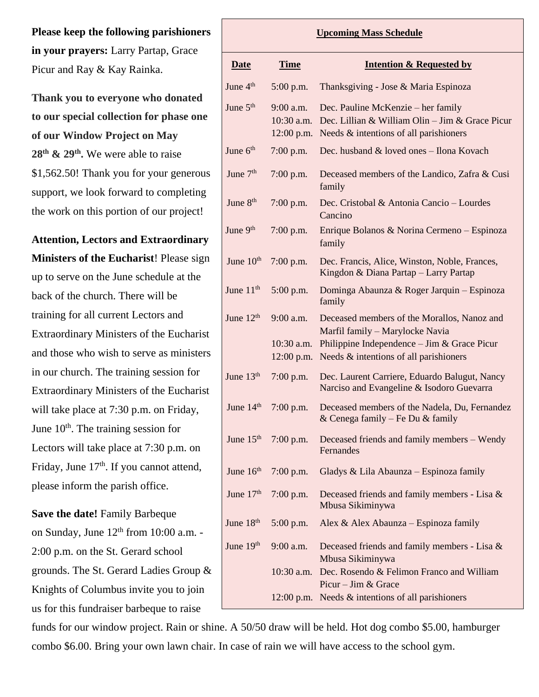**Please keep the following parishioners in your prayers:** Larry Partap, Grace Picur and Ray & Kay Rainka.

**Thank you to everyone who donated to our special collection for phase one of our Window Project on May 28th & 29th .** We were able to raise \$1,562.50! Thank you for your generous support, we look forward to completing the work on this portion of our project!

**Attention, Lectors and Extraordinary Ministers of the Eucharist**! Please sign

up to serve on the June schedule at the back of the church. There will be training for all current Lectors and Extraordinary Ministers of the Eucharist and those who wish to serve as ministers in our church. The training session for Extraordinary Ministers of the Eucharist will take place at 7:30 p.m. on Friday, June  $10<sup>th</sup>$ . The training session for Lectors will take place at 7:30 p.m. on Friday, June 17<sup>th</sup>. If you cannot attend, please inform the parish office.

**Save the date!** Family Barbeque on Sunday, June  $12<sup>th</sup>$  from 10:00 a.m. -2:00 p.m. on the St. Gerard school grounds. The St. Gerard Ladies Group & Knights of Columbus invite you to join us for this fundraiser barbeque to raise

| <b>Upcoming Mass Schedule</b> |                                             |                                                                                                                                                                           |
|-------------------------------|---------------------------------------------|---------------------------------------------------------------------------------------------------------------------------------------------------------------------------|
| <b>Date</b>                   | <b>Time</b>                                 | <b>Intention &amp; Requested by</b>                                                                                                                                       |
| June 4 <sup>th</sup>          | $5:00$ p.m.                                 | Thanksgiving - Jose & Maria Espinoza                                                                                                                                      |
| June 5 <sup>th</sup>          | $9:00$ a.m.<br>10:30 a.m.<br>12:00 p.m.     | Dec. Pauline McKenzie – her family<br>Dec. Lillian & William Olin - Jim & Grace Picur<br>Needs & intentions of all parishioners                                           |
| June 6 <sup>th</sup>          | $7:00$ p.m.                                 | Dec. husband & loved ones - Ilona Kovach                                                                                                                                  |
| June $7th$                    | $7:00$ p.m.                                 | Deceased members of the Landico, Zafra & Cusi<br>family                                                                                                                   |
| June 8 <sup>th</sup>          | $7:00$ p.m.                                 | Dec. Cristobal & Antonia Cancio - Lourdes<br>Cancino                                                                                                                      |
| June $9th$                    | $7:00$ p.m.                                 | Enrique Bolanos & Norina Cermeno - Espinoza<br>family                                                                                                                     |
| June 10 <sup>th</sup>         | $7:00$ p.m.                                 | Dec. Francis, Alice, Winston, Noble, Frances,<br>Kingdon & Diana Partap - Larry Partap                                                                                    |
| June 11 <sup>th</sup>         | $5:00$ p.m.                                 | Dominga Abaunza & Roger Jarquin – Espinoza<br>family                                                                                                                      |
| June $12th$                   | $9:00$ a.m.<br>$10:30$ a.m.<br>$12:00$ p.m. | Deceased members of the Morallos, Nanoz and<br>Marfil family - Marylocke Navia<br>Philippine Independence $-$ Jim & Grace Picur<br>Needs & intentions of all parishioners |
| June 13th                     | $7:00$ p.m.                                 | Dec. Laurent Carriere, Eduardo Balugut, Nancy<br>Narciso and Evangeline & Isodoro Guevarra                                                                                |
| June 14th                     | 7:00 p.m.                                   | Deceased members of the Nadela, Du, Fernandez<br>& Cenega family – Fe Du & family                                                                                         |
| June 15 <sup>th</sup>         | $7:00$ p.m.                                 | Deceased friends and family members – Wendy<br>Fernandes                                                                                                                  |
| June $16th$                   | $7:00$ p.m.                                 | Gladys & Lila Abaunza - Espinoza family                                                                                                                                   |
| June $17th$                   | $7:00$ p.m.                                 | Deceased friends and family members - Lisa &<br>Mbusa Sikiminywa                                                                                                          |
| June 18th                     | $5:00$ p.m.                                 | Alex & Alex Abaunza – Espinoza family                                                                                                                                     |
| June $19th$                   | 9:00 a.m.                                   | Deceased friends and family members - Lisa &<br>Mbusa Sikiminywa                                                                                                          |
|                               | $10:30$ a.m.                                | Dec. Rosendo & Felimon Franco and William<br>Picur – Jim & Grace                                                                                                          |
|                               |                                             | 12:00 p.m. Needs $&$ intentions of all parishioners                                                                                                                       |

funds for our window project. Rain or shine. A 50/50 draw will be held. Hot dog combo \$5.00, hamburger combo \$6.00. Bring your own lawn chair. In case of rain we will have access to the school gym.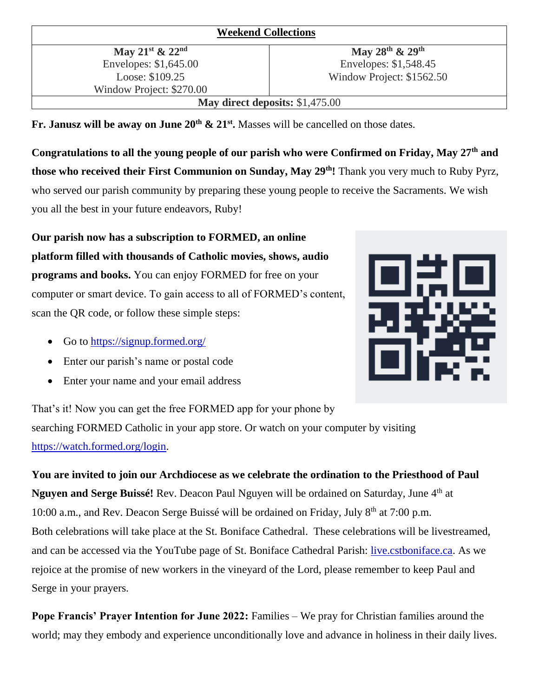#### **Weekend Collections**

**May 21st & 22nd** Envelopes: \$1,645.00 Loose: \$109.25 Window Project: \$270.00

**May 28th & 29th** Envelopes: \$1,548.45 Window Project: \$1562.50

**May direct deposits:** \$1,475.00

**Fr. Janusz will be away on June 20th & 21st .** Masses will be cancelled on those dates.

**Congratulations to all the young people of our parish who were Confirmed on Friday, May 27th and those who received their First Communion on Sunday, May 29th!** Thank you very much to Ruby Pyrz, who served our parish community by preparing these young people to receive the Sacraments. We wish you all the best in your future endeavors, Ruby!

**Our parish now has a subscription to FORMED, an online platform filled with thousands of Catholic movies, shows, audio programs and books.** You can enjoy FORMED for free on your computer or smart device. To gain access to all of FORMED's content, scan the QR code, or follow these simple steps:

- Go to  $\frac{https://signup.format.org/}{https://signup.format.org/})$
- Enter our parish's name or postal code
- Enter your name and your email address

That's it! Now you can get the free FORMED app for your phone by searching FORMED Catholic in your app store. Or watch on your computer by visiting [https://watch.formed.org/login.](https://watch.formed.org/login)

**You are invited to join our Archdiocese as we celebrate the ordination to the Priesthood of Paul Nguyen and Serge Buissé!** Rev. Deacon Paul Nguyen will be ordained on Saturday, June 4<sup>th</sup> at 10:00 a.m., and Rev. Deacon Serge Buissé will be ordained on Friday, July 8<sup>th</sup> at 7:00 p.m. Both celebrations will take place at the St. Boniface Cathedral. These celebrations will be livestreamed, and can be accessed via the YouTube page of St. Boniface Cathedral Parish: [live.cstboniface.ca.](live.cstboniface.ca) As we rejoice at the promise of new workers in the vineyard of the Lord, please remember to keep Paul and Serge in your prayers.

**Pope Francis' Prayer Intention for June 2022:** Families – We pray for Christian families around the world; may they embody and experience unconditionally love and advance in holiness in their daily lives.